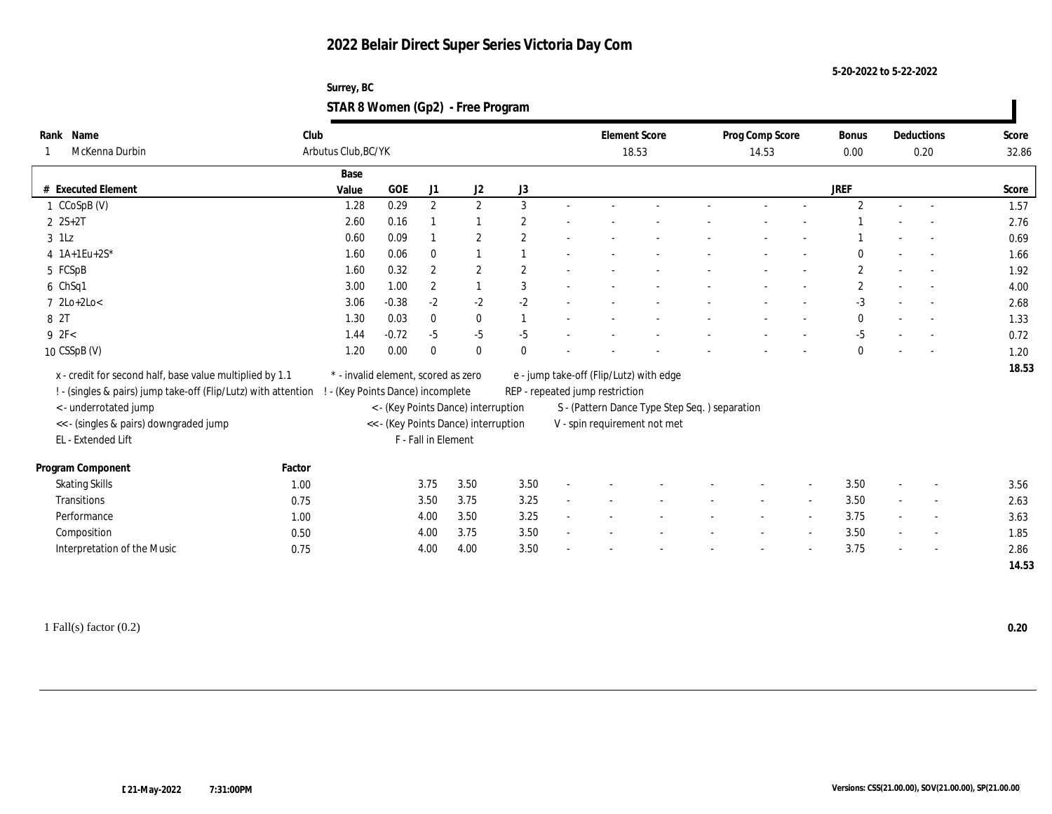**5-20-2022 to 5-22-2022**

| Surrey, BC                        |  |
|-----------------------------------|--|
| STAR 8 Women (Gp2) - Free Program |  |

| Rank Name<br>McKenna Durbin                                                                                                | Club<br>Arbutus Club, BC/YK |       |                                                                          |                     |                                      |                |                                 | <b>Element Score</b><br>18.53                 | Prog Comp Score<br>14.53 | Bonus<br>0.00  |        | Deductions<br>0.20       | Score<br>32.86 |
|----------------------------------------------------------------------------------------------------------------------------|-----------------------------|-------|--------------------------------------------------------------------------|---------------------|--------------------------------------|----------------|---------------------------------|-----------------------------------------------|--------------------------|----------------|--------|--------------------------|----------------|
|                                                                                                                            |                             | Base  |                                                                          |                     |                                      |                |                                 |                                               |                          |                |        |                          |                |
| # Executed Element                                                                                                         |                             | Value | <b>GOE</b>                                                               | J1                  | J2                                   | J3             |                                 |                                               |                          | <b>JREF</b>    |        |                          | Score          |
| 1 CCoSpB (V)                                                                                                               |                             | 1.28  | 0.29                                                                     | $\mathbf{2}$        | 2                                    | 3              |                                 |                                               |                          | $\overline{2}$ |        |                          | 1.57           |
| $2 S+2T$                                                                                                                   |                             | 2.60  | 0.16                                                                     |                     |                                      | 2              |                                 |                                               |                          |                |        |                          | 2.76           |
| $3$ 1Lz                                                                                                                    |                             | 0.60  | 0.09                                                                     |                     | $\boldsymbol{2}$                     | 2              |                                 |                                               |                          |                |        |                          | 0.69           |
| 4 $1A+1Eu+2S^*$                                                                                                            |                             | 1.60  | 0.06                                                                     | $\mathbf{0}$        |                                      |                |                                 |                                               |                          |                |        |                          | 1.66           |
| 5 FCSpB                                                                                                                    |                             | 1.60  | 0.32                                                                     | $\overline{2}$      | $\boldsymbol{2}$                     | $\overline{2}$ |                                 |                                               |                          | $\mathbf{2}$   |        |                          | 1.92           |
| 6 ChSq1                                                                                                                    |                             | 3.00  | 1.00                                                                     | $\mathbf{2}$        |                                      | 3              |                                 |                                               |                          | $\overline{2}$ |        |                          | 4.00           |
| $7 \text{ 2Lo+2Lo}$                                                                                                        |                             | 3.06  | $-0.38$                                                                  | $-2$                | $-2$                                 | $-2$           |                                 |                                               |                          | $-3$           |        |                          | 2.68           |
| 8 2T                                                                                                                       |                             | 1.30  | 0.03                                                                     | $\mathbf{0}$        | $\bf{0}$                             |                |                                 |                                               |                          | $\mathbf{0}$   |        |                          | 1.33           |
| 9 2F<                                                                                                                      |                             | 1.44  | $-0.72$                                                                  | $-5$                | $-5$                                 | $-5$           |                                 |                                               |                          | $-5$           |        |                          | 0.72           |
| 10 CSSpB (V)                                                                                                               |                             | 1.20  | 0.00                                                                     | $\theta$            | $\bf{0}$                             | $\Omega$       |                                 |                                               |                          | 0              |        |                          | 1.20           |
| x - credit for second half, base value multiplied by 1.1<br>! - (singles & pairs) jump take-off (Flip/Lutz) with attention |                             |       | * - invalid element, scored as zero<br>! - (Key Points Dance) incomplete |                     |                                      |                | REP - repeated jump restriction | e - jump take-off (Flip/Lutz) with edge       |                          |                |        |                          | 18.53          |
| < - underrotated jump                                                                                                      |                             |       |                                                                          |                     | < - (Key Points Dance) interruption  |                |                                 | S - (Pattern Dance Type Step Seq.) separation |                          |                |        |                          |                |
| << - (singles & pairs) downgraded jump                                                                                     |                             |       |                                                                          |                     | << - (Key Points Dance) interruption |                |                                 | V - spin requirement not met                  |                          |                |        |                          |                |
| EL - Extended Lift                                                                                                         |                             |       |                                                                          | F - Fall in Element |                                      |                |                                 |                                               |                          |                |        |                          |                |
| Program Component                                                                                                          | Factor                      |       |                                                                          |                     |                                      |                |                                 |                                               |                          |                |        |                          |                |
| <b>Skating Skills</b>                                                                                                      | 1.00                        |       |                                                                          | 3.75                | 3.50                                 | 3.50           |                                 |                                               |                          | 3.50           | $\sim$ |                          | 3.56           |
| Transitions                                                                                                                | 0.75                        |       |                                                                          | 3.50                | 3.75                                 | 3.25           |                                 |                                               |                          | 3.50           |        |                          | 2.63           |
| Performance                                                                                                                | 1.00                        |       |                                                                          | 4.00                | 3.50                                 | 3.25           |                                 |                                               |                          | 3.75           |        | $\sim$                   | 3.63           |
| Composition                                                                                                                | 0.50                        |       |                                                                          | 4.00                | 3.75                                 | 3.50           |                                 |                                               |                          | 3.50           | $\sim$ | $\overline{\phantom{a}}$ | 1.85           |
| Interpretation of the Music                                                                                                | 0.75                        |       |                                                                          | 4.00                | 4.00                                 | 3.50           |                                 |                                               |                          | 3.75           |        |                          | 2.86           |
|                                                                                                                            |                             |       |                                                                          |                     |                                      |                |                                 |                                               |                          |                |        |                          | 14.53          |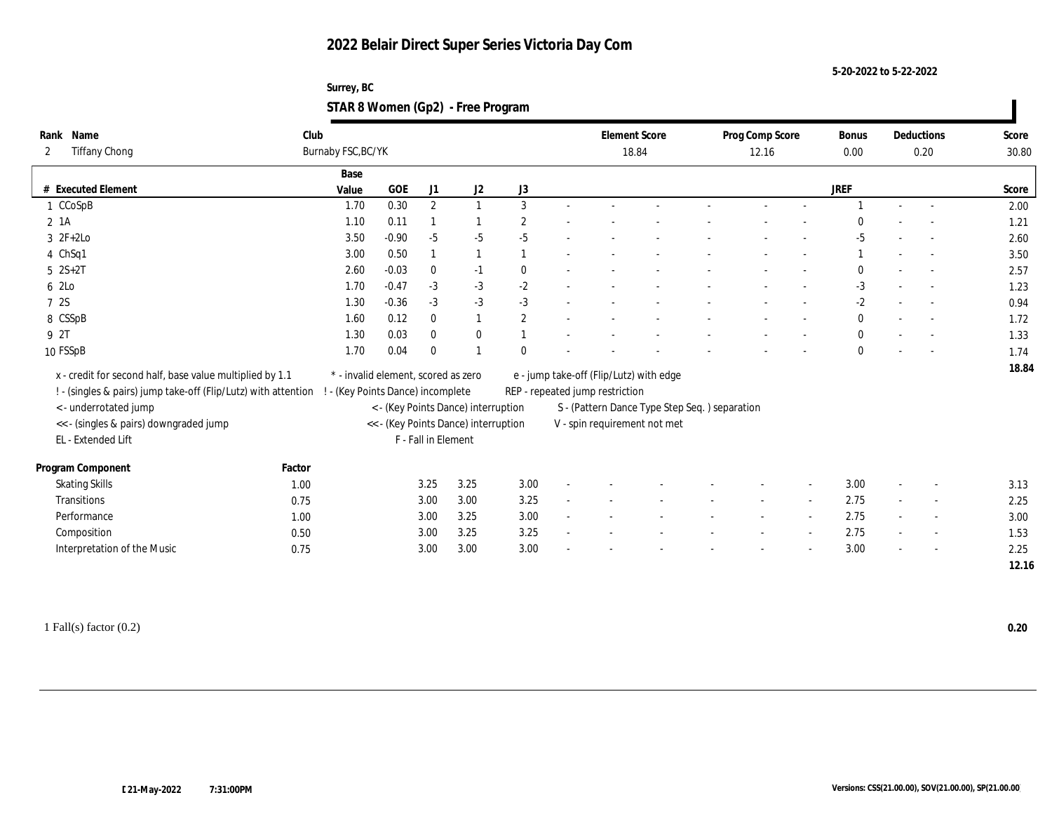**5-20-2022 to 5-22-2022**

| Surrey, BC                        |  |
|-----------------------------------|--|
| STAR 8 Women (Gp2) - Free Program |  |

| Name<br>Rank                                                   | Club                              |                                     |                     |                                      |                  | <b>Element Score</b>                    |                                               | Prog Comp Score | Bonus        |        | Deductions               | Score |
|----------------------------------------------------------------|-----------------------------------|-------------------------------------|---------------------|--------------------------------------|------------------|-----------------------------------------|-----------------------------------------------|-----------------|--------------|--------|--------------------------|-------|
| <b>Tiffany Chong</b><br>2                                      | Burnaby FSC, BC/YK                |                                     |                     |                                      |                  |                                         | 18.84                                         | 12.16           | 0.00         |        | 0.20                     | 30.80 |
|                                                                | Base                              |                                     |                     |                                      |                  |                                         |                                               |                 |              |        |                          |       |
| # Executed Element                                             | Value                             | GOE                                 | J1                  | J2                                   | J3               |                                         |                                               |                 | <b>JREF</b>  |        |                          | Score |
| 1 CCoSpB                                                       | 1.70                              | 0.30                                | $\mathbf{2}$        | $\mathbf{1}$                         | 3                |                                         |                                               |                 |              |        |                          | 2.00  |
| 2 1A                                                           | 1.10                              | 0.11                                |                     |                                      | $\boldsymbol{2}$ |                                         |                                               |                 |              |        |                          | 1.21  |
| $3 \t2F+2Lo$                                                   | 3.50                              | $-0.90$                             | $-5$                | $-5$                                 | $-5$             |                                         |                                               |                 | $-5$         |        |                          | 2.60  |
| 4 ChSq1                                                        | 3.00                              | 0.50                                |                     |                                      |                  |                                         |                                               |                 |              |        |                          | 3.50  |
| $5 \ 2S+2T$                                                    | 2.60                              | $-0.03$                             | $\bf{0}$            | $-1$                                 | $\bf{0}$         |                                         |                                               |                 | 0            |        |                          | 2.57  |
| 6 2Lo                                                          | 1.70                              | $-0.47$                             | $-3$                | $-3$                                 | $-2$             |                                         |                                               |                 | $-3$         |        |                          | 1.23  |
| 7 2S                                                           | 1.30                              | $-0.36$                             | $-3$                | $-3$                                 | $-3$             |                                         |                                               |                 | $-2$         |        |                          | 0.94  |
| 8 CSSpB                                                        | 1.60                              | 0.12                                | $\mathbf{0}$        | 1                                    | $\mathbf{2}$     |                                         |                                               |                 | $\mathbf{0}$ |        |                          | 1.72  |
| 9 2T                                                           | 1.30                              | 0.03                                | $\bf{0}$            | $\bf{0}$                             |                  |                                         |                                               |                 | $\bf{0}$     |        |                          | 1.33  |
| 10 FSSpB                                                       | 1.70                              | 0.04                                | $\theta$            |                                      | $\Omega$         |                                         |                                               |                 | $\mathbf{0}$ |        |                          | 1.74  |
| x - credit for second half, base value multiplied by 1.1       |                                   | * - invalid element, scored as zero |                     |                                      |                  |                                         |                                               |                 |              |        |                          | 18.84 |
|                                                                |                                   |                                     |                     |                                      |                  | e - jump take-off (Flip/Lutz) with edge |                                               |                 |              |        |                          |       |
| ! - (singles & pairs) jump take-off (Flip/Lutz) with attention | ! - (Key Points Dance) incomplete |                                     |                     |                                      |                  | REP - repeated jump restriction         |                                               |                 |              |        |                          |       |
| < - underrotated jump                                          |                                   |                                     |                     | < - (Key Points Dance) interruption  |                  |                                         | S - (Pattern Dance Type Step Seq.) separation |                 |              |        |                          |       |
| <<- (singles & pairs) downgraded jump                          |                                   |                                     | F - Fall in Element | << - (Key Points Dance) interruption |                  |                                         | V - spin requirement not met                  |                 |              |        |                          |       |
| EL - Extended Lift                                             |                                   |                                     |                     |                                      |                  |                                         |                                               |                 |              |        |                          |       |
| Program Component                                              | Factor                            |                                     |                     |                                      |                  |                                         |                                               |                 |              |        |                          |       |
| <b>Skating Skills</b>                                          | 1.00                              |                                     | 3.25                | 3.25                                 | 3.00             |                                         |                                               |                 | 3.00         |        |                          | 3.13  |
| Transitions                                                    | 0.75                              |                                     | 3.00                | 3.00                                 | 3.25             |                                         |                                               |                 | 2.75         |        |                          | 2.25  |
| Performance                                                    | 1.00                              |                                     | 3.00                | 3.25                                 | 3.00             |                                         |                                               |                 | 2.75         |        | $\overline{\phantom{a}}$ | 3.00  |
| Composition                                                    | 0.50                              |                                     | 3.00                | 3.25                                 | 3.25             |                                         |                                               |                 | 2.75         | $\sim$ | $\overline{\phantom{a}}$ | 1.53  |
| Interpretation of the Music                                    | 0.75                              |                                     | 3.00                | 3.00                                 | 3.00             |                                         |                                               |                 | 3.00         |        |                          | 2.25  |
|                                                                |                                   |                                     |                     |                                      |                  |                                         |                                               |                 |              |        |                          | 12.16 |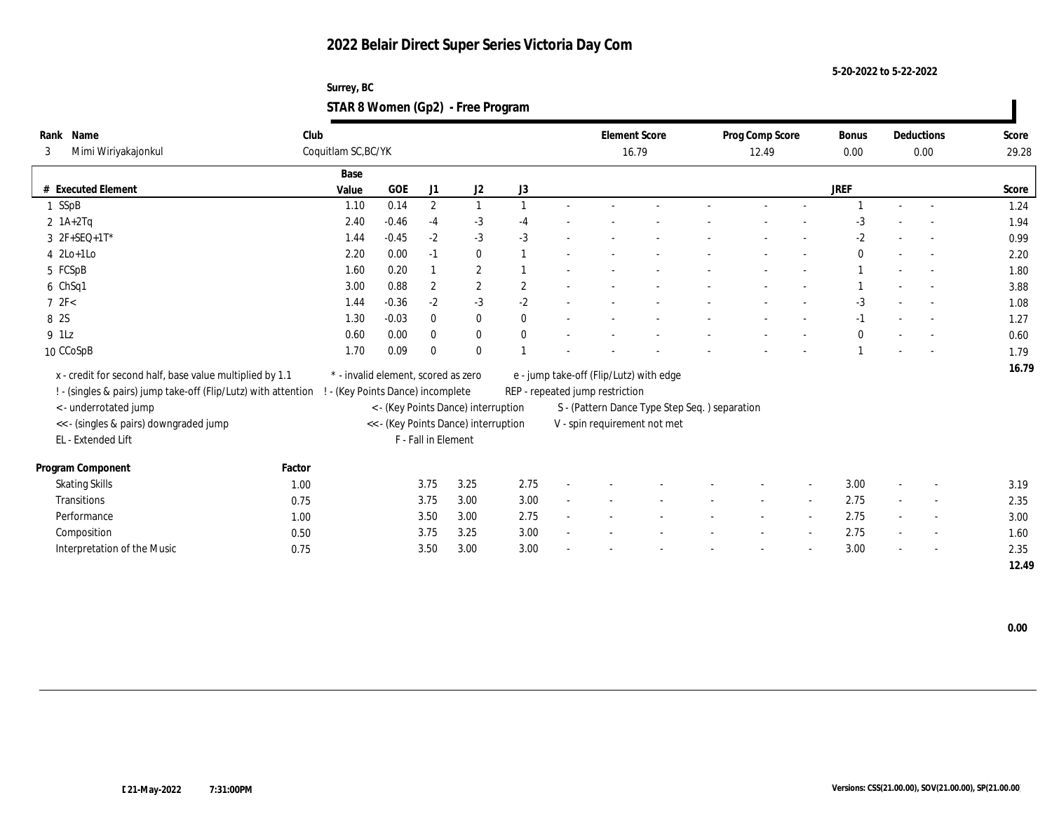**5-20-2022 to 5-22-2022**

| Surrey, BC                        |  |
|-----------------------------------|--|
| STAR 8 Women (Gp2) - Free Program |  |

| Name<br>Rank<br>Mimi Wiriyakajonkul<br>3                       | Club   | Coquitlam SC, BC/YK                 |         |                     |                                      |              |                                 | <b>Element Score</b><br>16.79                 | Prog Comp Score<br>12.49 | <b>Bonus</b><br>0.00 |                          | Deductions<br>0.00       | Score<br>29.28 |
|----------------------------------------------------------------|--------|-------------------------------------|---------|---------------------|--------------------------------------|--------------|---------------------------------|-----------------------------------------------|--------------------------|----------------------|--------------------------|--------------------------|----------------|
|                                                                |        | Base                                |         |                     |                                      |              |                                 |                                               |                          |                      |                          |                          |                |
| # Executed Element                                             |        | Value                               | $GOE$   | J <sub>1</sub>      | J2                                   | J3           |                                 |                                               |                          | <b>JREF</b>          |                          |                          | Score          |
| 1 SSpB                                                         |        | 1.10                                | 0.14    | $\boldsymbol{2}$    | $\mathbf{1}$                         |              |                                 |                                               |                          |                      | $\sim$                   |                          | 1.24           |
| $2$ 1A+2Tq                                                     |        | 2.40                                | $-0.46$ | $-4$                | $-3$                                 | $-4$         |                                 |                                               |                          | $-3$                 |                          |                          | 1.94           |
| $3 \t2F+SEQ+1T^*$                                              |        | 1.44                                | $-0.45$ | $-2$                | $-3$                                 | $-3$         |                                 |                                               |                          | $-2$                 |                          |                          | 0.99           |
| $4$ 2Lo+1Lo                                                    |        | 2.20                                | 0.00    | $-1$                | $\bf{0}$                             |              |                                 |                                               |                          | $\mathbf{0}$         | $\overline{\phantom{a}}$ |                          | 2.20           |
| 5 FCSpB                                                        |        | 1.60                                | 0.20    |                     | $\overline{2}$                       |              |                                 |                                               |                          |                      |                          |                          | 1.80           |
| 6 ChSq1                                                        |        | 3.00                                | 0.88    | $\boldsymbol{2}$    | $\mathbf{2}$                         | $\mathbf{2}$ |                                 |                                               |                          |                      |                          |                          | 3.88           |
| 72F<                                                           |        | 1.44                                | $-0.36$ | $-2$                | $-3$                                 | $-2$         |                                 |                                               |                          | $-3$                 |                          |                          | 1.08           |
| 8 2S                                                           |        | 1.30                                | $-0.03$ | $\bf{0}$            | $\bf{0}$                             | $\mathbf{0}$ |                                 |                                               |                          | $-1$                 |                          |                          | 1.27           |
| 9 1Lz                                                          |        | 0.60                                | 0.00    | $\bf{0}$            | $\bf{0}$                             | $\mathbf{0}$ |                                 |                                               |                          | $\bf{0}$             |                          |                          | 0.60           |
| 10 CCoSpB                                                      |        | 1.70                                | 0.09    | $\Omega$            | $\theta$                             |              |                                 |                                               |                          |                      |                          |                          | 1.79           |
| x - credit for second half, base value multiplied by 1.1       |        | * - invalid element, scored as zero |         |                     |                                      |              |                                 | e - jump take-off (Flip/Lutz) with edge       |                          |                      |                          |                          | 16.79          |
| ! - (singles & pairs) jump take-off (Flip/Lutz) with attention |        | ! - (Key Points Dance) incomplete   |         |                     |                                      |              | REP - repeated jump restriction |                                               |                          |                      |                          |                          |                |
| < - underrotated jump                                          |        |                                     |         |                     | < - (Key Points Dance) interruption  |              |                                 | S - (Pattern Dance Type Step Seq.) separation |                          |                      |                          |                          |                |
| << - (singles & pairs) downgraded jump                         |        |                                     |         |                     | << - (Key Points Dance) interruption |              |                                 | V - spin requirement not met                  |                          |                      |                          |                          |                |
| EL - Extended Lift                                             |        |                                     |         | F - Fall in Element |                                      |              |                                 |                                               |                          |                      |                          |                          |                |
| Program Component                                              | Factor |                                     |         |                     |                                      |              |                                 |                                               |                          |                      |                          |                          |                |
| <b>Skating Skills</b>                                          | 1.00   |                                     |         | 3.75                | 3.25                                 | 2.75         |                                 |                                               |                          | 3.00                 | $\overline{\phantom{a}}$ | $\overline{\phantom{a}}$ | 3.19           |
| Transitions                                                    | 0.75   |                                     |         | 3.75                | 3.00                                 | 3.00         |                                 |                                               |                          | 2.75                 |                          | $\overline{\phantom{a}}$ | 2.35           |
| Performance                                                    | 1.00   |                                     |         | 3.50                | 3.00                                 | 2.75         |                                 |                                               |                          | 2.75                 |                          | $\overline{\phantom{a}}$ | 3.00           |
| Composition                                                    | 0.50   |                                     |         | 3.75                | 3.25                                 | 3.00         |                                 |                                               |                          | 2.75                 | $\overline{\phantom{a}}$ | $\overline{\phantom{a}}$ | 1.60           |
| Interpretation of the Music                                    | 0.75   |                                     |         | 3.50                | 3.00                                 | 3.00         |                                 |                                               |                          | 3.00                 |                          | $\overline{\phantom{a}}$ | 2.35           |
|                                                                |        |                                     |         |                     |                                      |              |                                 |                                               |                          |                      |                          |                          | 12.49          |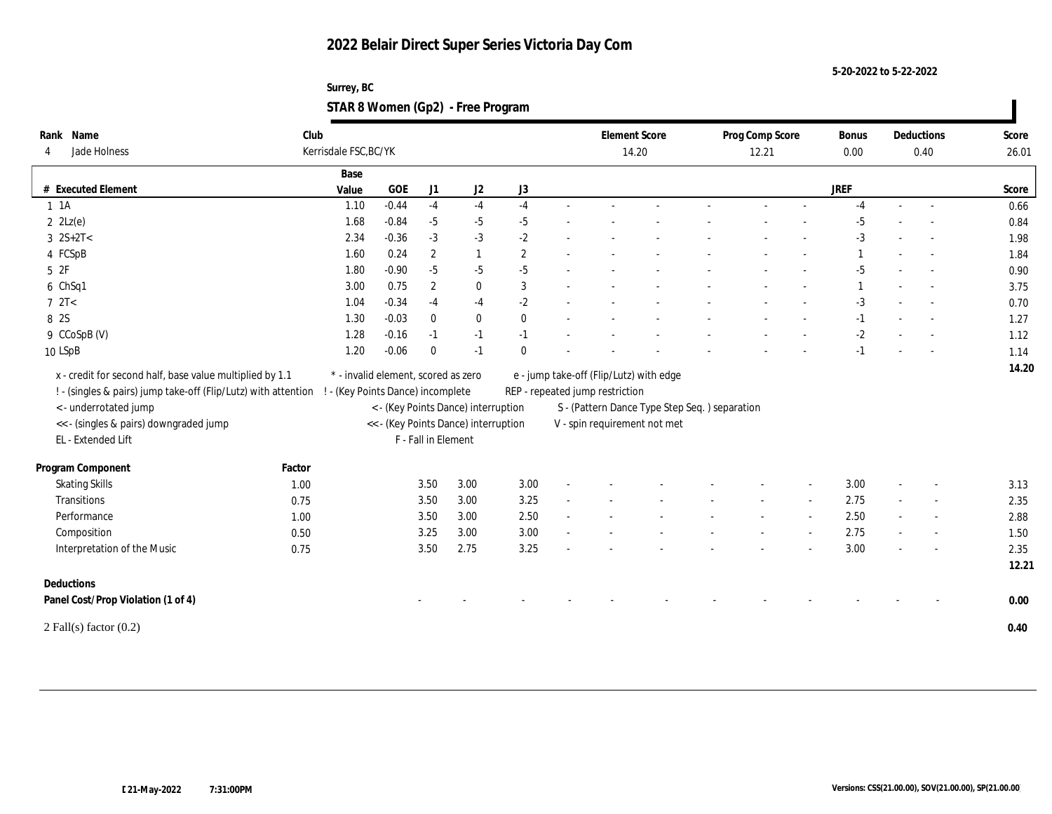**5-20-2022 to 5-22-2022**

| Surrey, BC                        |  |
|-----------------------------------|--|
| STAR 8 Women (Gp2) - Free Program |  |

| Jade Holness<br>4                                                                                                          | Club   | Kerrisdale FSC, BC/YK                                                    |           |                     |                                                                             |                |  |                                                                            | <b>Element Score</b><br>14.20 |                                               | Prog Comp Score<br>12.21 | <b>Bonus</b><br>0.00 | Deductions<br>0.40 |                          | Score<br>26.01 |
|----------------------------------------------------------------------------------------------------------------------------|--------|--------------------------------------------------------------------------|-----------|---------------------|-----------------------------------------------------------------------------|----------------|--|----------------------------------------------------------------------------|-------------------------------|-----------------------------------------------|--------------------------|----------------------|--------------------|--------------------------|----------------|
|                                                                                                                            |        | Base                                                                     |           |                     |                                                                             |                |  |                                                                            |                               |                                               |                          |                      |                    |                          |                |
| # Executed Element                                                                                                         |        | Value                                                                    | $\rm GOE$ | J1                  | J2                                                                          | ${\rm J}3$     |  |                                                                            |                               |                                               |                          | <b>JREF</b>          |                    |                          | Score          |
| 1 1 A                                                                                                                      |        | 1.10                                                                     | $-0.44$   | $-4$                | $-4$                                                                        | $-4$           |  |                                                                            |                               |                                               |                          | $-4$                 |                    |                          | 0.66           |
| $2 \text{ } 2 \text{Lz}(e)$                                                                                                |        | 1.68                                                                     | $-0.84$   | $-5$                | $-5$                                                                        | $-5$           |  |                                                                            |                               |                                               |                          | $-5$                 |                    |                          | 0.84           |
| $3 \ 2S+2T <$                                                                                                              |        | 2.34                                                                     | $-0.36$   | $-3$                | $-3$                                                                        | $-2$           |  |                                                                            |                               |                                               |                          | $-3$                 |                    |                          | 1.98           |
| 4 FCSpB                                                                                                                    |        | 1.60                                                                     | 0.24      | $\mathbf{2}$        | $\mathbf{1}$                                                                | $\overline{2}$ |  |                                                                            |                               |                                               |                          |                      |                    |                          | 1.84           |
| 5 2F                                                                                                                       |        | 1.80                                                                     | $-0.90$   | $-5$                | $-5$                                                                        | $-5$           |  |                                                                            |                               |                                               |                          | $-5$                 |                    |                          | 0.90           |
| 6 ChSq1                                                                                                                    |        | 3.00                                                                     | 0.75      | $\mathbf{2}$        | $\bf{0}$                                                                    | 3              |  |                                                                            |                               |                                               |                          |                      |                    |                          | 3.75           |
| $7 \text{ } 2T <$                                                                                                          |        | 1.04                                                                     | $-0.34$   | $-4$                | $-4$                                                                        | $-2$           |  |                                                                            |                               |                                               |                          | $-3$                 |                    |                          | 0.70           |
| 8 2S                                                                                                                       |        | 1.30                                                                     | $-0.03$   | $\bf{0}$            | $\bf{0}$                                                                    | $\mathbf{0}$   |  |                                                                            |                               |                                               |                          | $-1$                 |                    |                          | 1.27           |
| 9 CCoSpB (V)                                                                                                               |        | 1.28                                                                     | $-0.16$   | $-1$                | $-1$                                                                        | $-1$           |  |                                                                            |                               |                                               |                          | $-2$                 |                    |                          | 1.12           |
| 10 LSpB                                                                                                                    |        | 1.20                                                                     | $-0.06$   | $\theta$            | $-1$                                                                        | $\theta$       |  |                                                                            |                               |                                               |                          | $-1$                 |                    |                          | 1.14           |
| x - credit for second half, base value multiplied by 1.1<br>! - (singles & pairs) jump take-off (Flip/Lutz) with attention |        | * - invalid element, scored as zero<br>! - (Key Points Dance) incomplete |           |                     |                                                                             |                |  | e - jump take-off (Flip/Lutz) with edge<br>REP - repeated jump restriction |                               |                                               |                          |                      |                    |                          |                |
| <- underrotated jump<br><<- (singles & pairs) downgraded jump<br>EL - Extended Lift                                        |        |                                                                          |           | F - Fall in Element | < - (Key Points Dance) interruption<br><< - (Key Points Dance) interruption |                |  | V - spin requirement not met                                               |                               | S - (Pattern Dance Type Step Seq.) separation |                          |                      |                    |                          |                |
| Program Component                                                                                                          | Factor |                                                                          |           |                     |                                                                             |                |  |                                                                            |                               |                                               |                          |                      |                    |                          |                |
| <b>Skating Skills</b>                                                                                                      | 1.00   |                                                                          |           | 3.50                | $3.00\,$                                                                    | 3.00           |  |                                                                            |                               |                                               |                          | 3.00                 |                    |                          | 3.13           |
| Transitions                                                                                                                | 0.75   |                                                                          |           | 3.50                | 3.00                                                                        | 3.25           |  |                                                                            |                               |                                               |                          | 2.75                 |                    |                          | 2.35           |
| Performance                                                                                                                | 1.00   |                                                                          |           | 3.50                | 3.00                                                                        | 2.50           |  |                                                                            |                               |                                               |                          | 2.50                 |                    | $\overline{\phantom{a}}$ | 2.88           |
| Composition                                                                                                                | 0.50   |                                                                          |           | 3.25                | 3.00                                                                        | 3.00           |  |                                                                            |                               |                                               |                          | 2.75                 |                    | $\overline{\phantom{a}}$ | 1.50           |
| Interpretation of the Music                                                                                                | 0.75   |                                                                          |           | 3.50                | 2.75                                                                        | 3.25           |  |                                                                            |                               |                                               |                          | 3.00                 |                    |                          | 2.35           |
|                                                                                                                            |        |                                                                          |           |                     |                                                                             |                |  |                                                                            |                               |                                               |                          |                      |                    |                          |                |
| Deductions                                                                                                                 |        |                                                                          |           |                     |                                                                             |                |  |                                                                            |                               |                                               |                          |                      |                    |                          |                |
| Panel Cost/Prop Violation (1 of 4)                                                                                         |        |                                                                          |           |                     |                                                                             |                |  |                                                                            |                               |                                               |                          |                      |                    |                          | 12.21<br>0.00  |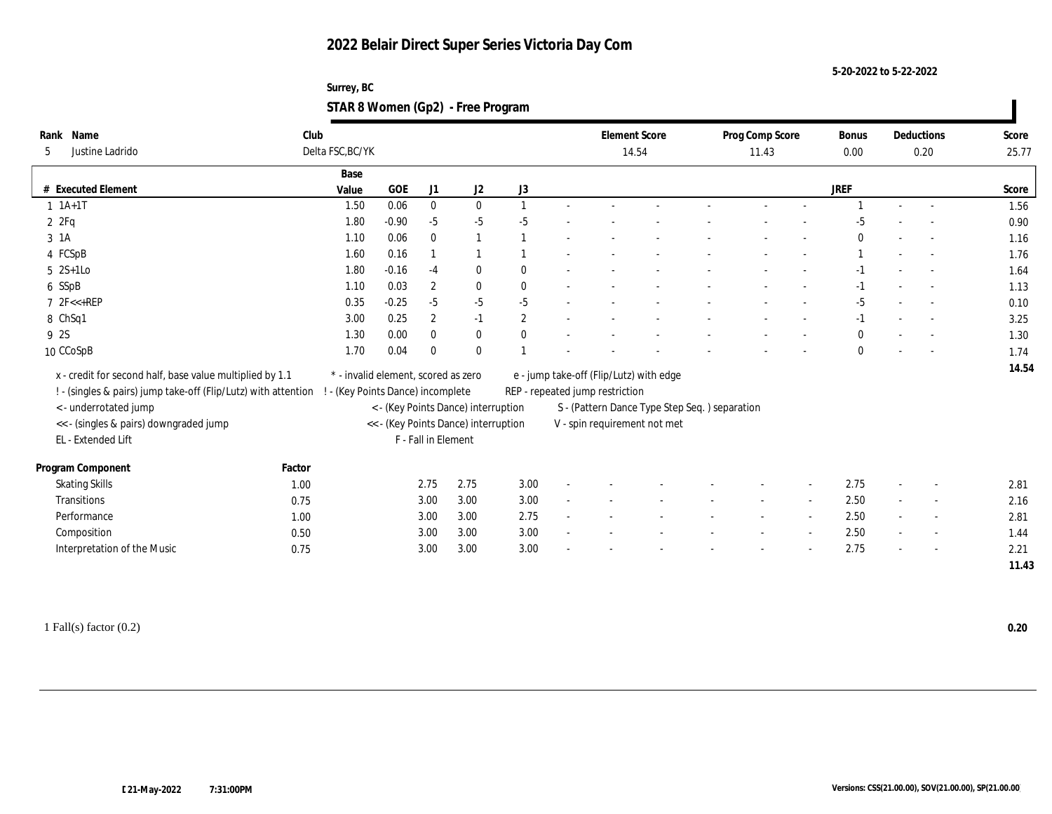**5-20-2022 to 5-22-2022**

| Surrey, BC                        |  |
|-----------------------------------|--|
| STAR 8 Women (Gp2) - Free Program |  |

| Name<br>Rank                                                   | Club   |                                     |              |                     |                                      |                |                                 | <b>Element Score</b>                          | Prog Comp Score | Bonus        |        | Deductions               | Score |
|----------------------------------------------------------------|--------|-------------------------------------|--------------|---------------------|--------------------------------------|----------------|---------------------------------|-----------------------------------------------|-----------------|--------------|--------|--------------------------|-------|
| Justine Ladrido<br>5                                           |        | Delta FSC, BC/YK                    |              |                     |                                      |                |                                 | 14.54                                         | 11.43           | 0.00         |        | 0.20                     | 25.77 |
|                                                                |        | Base                                |              |                     |                                      |                |                                 |                                               |                 |              |        |                          |       |
| # Executed Element                                             |        | Value                               | $_{\rm GOE}$ | J <sub>1</sub>      | J2                                   | J3             |                                 |                                               |                 | <b>JREF</b>  |        |                          | Score |
| $1 \t1A+1T$                                                    |        | 1.50                                | 0.06         | $\mathbf{0}$        | $\mathbf{0}$                         |                |                                 |                                               |                 |              |        |                          | 1.56  |
| 2ZFq                                                           |        | 1.80                                | $-0.90$      | $-5$                | $-5$                                 | $-5$           |                                 |                                               |                 |              |        |                          | 0.90  |
| 3 1A                                                           |        | 1.10                                | 0.06         | $\mathbf{0}$        |                                      |                |                                 |                                               |                 | $\theta$     |        |                          | 1.16  |
| 4 FCSpB                                                        |        | 1.60                                | 0.16         |                     |                                      |                |                                 |                                               |                 |              |        |                          | 1.76  |
| $5 \t2S+1Lo$                                                   |        | 1.80                                | $-0.16$      | $-4$                | $\bf{0}$                             | $\mathbf{0}$   |                                 |                                               |                 |              |        |                          | 1.64  |
| 6 SSpB                                                         |        | 1.10                                | 0.03         | $\sqrt{2}$          | $\bf{0}$                             | $\mathbf{0}$   |                                 |                                               |                 | $-1$         |        |                          | 1.13  |
| $7$ $2F < +REP$                                                |        | 0.35                                | $-0.25$      | $-5$                | $-5$                                 | $-5$           |                                 |                                               |                 | $-5$         |        |                          | 0.10  |
| 8 ChSq1                                                        |        | 3.00                                | 0.25         | $\boldsymbol{2}$    | $-1$                                 | $\overline{2}$ |                                 |                                               |                 | $-1$         |        |                          | 3.25  |
| 9 2S                                                           |        | 1.30                                | 0.00         | $\mathbf{0}$        | $\bf{0}$                             | $\Omega$       |                                 |                                               |                 | $\bf{0}$     |        |                          | 1.30  |
| 10 CCoSpB                                                      |        | 1.70                                | 0.04         | $\Omega$            | $\mathbf{0}$                         |                |                                 |                                               |                 | $\mathbf{0}$ |        |                          | 1.74  |
| x - credit for second half, base value multiplied by 1.1       |        | * - invalid element, scored as zero |              |                     |                                      |                |                                 | e - jump take-off (Flip/Lutz) with edge       |                 |              |        |                          | 14.54 |
| ! - (singles & pairs) jump take-off (Flip/Lutz) with attention |        | ! - (Key Points Dance) incomplete   |              |                     |                                      |                | REP - repeated jump restriction |                                               |                 |              |        |                          |       |
| < - underrotated jump                                          |        |                                     |              |                     | < - (Key Points Dance) interruption  |                |                                 | S - (Pattern Dance Type Step Seq.) separation |                 |              |        |                          |       |
| << - (singles & pairs) downgraded jump                         |        |                                     |              |                     | << - (Key Points Dance) interruption |                |                                 | V - spin requirement not met                  |                 |              |        |                          |       |
| EL - Extended Lift                                             |        |                                     |              | F - Fall in Element |                                      |                |                                 |                                               |                 |              |        |                          |       |
|                                                                |        |                                     |              |                     |                                      |                |                                 |                                               |                 |              |        |                          |       |
| Program Component                                              | Factor |                                     |              |                     |                                      |                |                                 |                                               |                 |              |        |                          |       |
| <b>Skating Skills</b>                                          | 1.00   |                                     |              | 2.75                | 2.75                                 | 3.00           |                                 |                                               |                 | 2.75         | $\sim$ |                          | 2.81  |
| Transitions                                                    | 0.75   |                                     |              | 3.00                | 3.00                                 | 3.00           |                                 |                                               |                 | 2.50         |        |                          | 2.16  |
| Performance                                                    | 1.00   |                                     |              | 3.00                | 3.00                                 | 2.75           |                                 |                                               |                 | 2.50         |        | $\sim$                   | 2.81  |
| Composition                                                    | 0.50   |                                     |              | 3.00                | 3.00                                 | 3.00           |                                 |                                               |                 | 2.50         | $\sim$ | $\overline{\phantom{a}}$ | 1.44  |
| Interpretation of the Music                                    | 0.75   |                                     |              | 3.00                | 3.00                                 | 3.00           |                                 |                                               |                 | 2.75         |        |                          | 2.21  |
|                                                                |        |                                     |              |                     |                                      |                |                                 |                                               |                 |              |        |                          | 11.43 |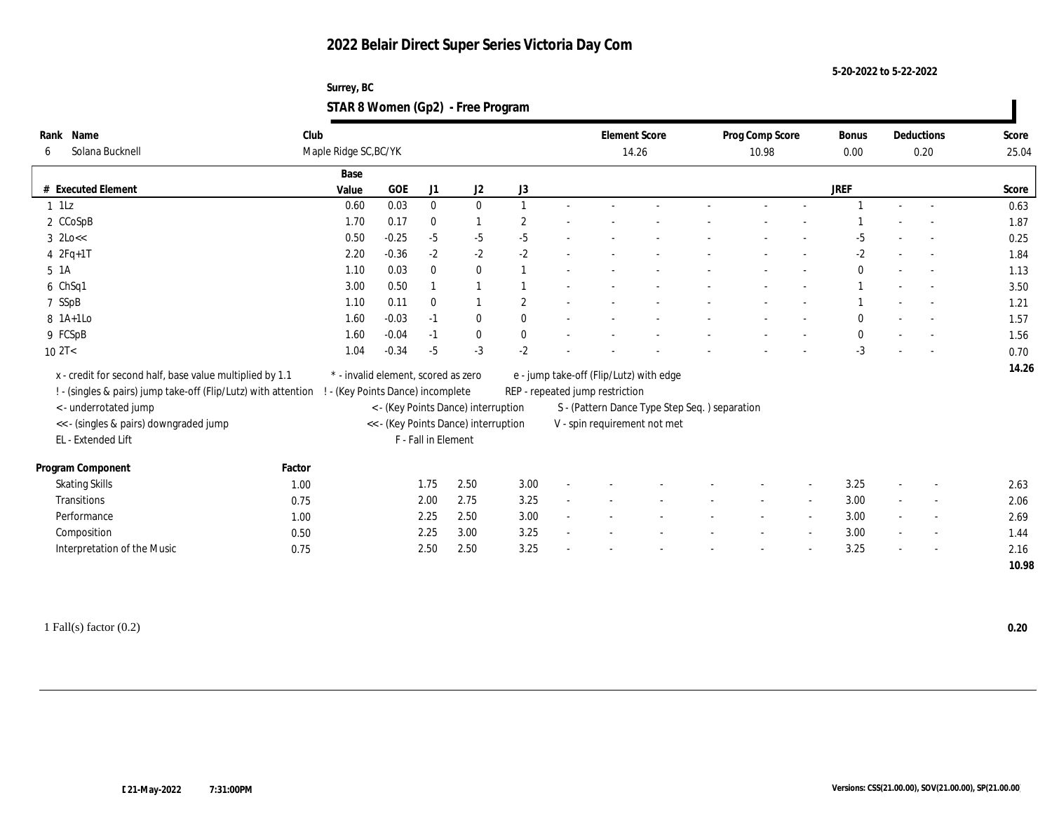**5-20-2022 to 5-22-2022**

| Surrey, BC                        |  |
|-----------------------------------|--|
| STAR 8 Women (Gp2) - Free Program |  |

| Rank Name                                                      | Club   |                                     |         |                     |                                      |                |                                 | <b>Element Score</b>                          | Prog Comp Score | <b>Bonus</b> |                          | Deductions               | Score |
|----------------------------------------------------------------|--------|-------------------------------------|---------|---------------------|--------------------------------------|----------------|---------------------------------|-----------------------------------------------|-----------------|--------------|--------------------------|--------------------------|-------|
| Solana Bucknell<br>6                                           |        | Maple Ridge SC, BC/YK               |         |                     |                                      |                |                                 | 14.26                                         | 10.98           | 0.00         |                          | 0.20                     | 25.04 |
|                                                                |        | Base                                |         |                     |                                      |                |                                 |                                               |                 |              |                          |                          |       |
| # Executed Element                                             |        | Value                               | GOE     | J1                  | $\mathrm{J}2$                        | ${\rm J}3$     |                                 |                                               |                 | <b>JREF</b>  |                          |                          | Score |
| $1$ 1Lz                                                        |        | 0.60                                | 0.03    | $\mathbf{0}$        | $\mathbf{0}$                         |                |                                 |                                               |                 |              | $\sim$                   |                          | 0.63  |
| 2 CCoSpB                                                       |        | 1.70                                | 0.17    | $\bf{0}$            |                                      | $\overline{2}$ |                                 |                                               |                 |              |                          |                          | 1.87  |
| $3$ $2$ Lo<<                                                   |        | 0.50                                | $-0.25$ | $-5$                | $-5$                                 | $-5$           |                                 |                                               |                 | -5           |                          |                          | 0.25  |
| $42Fq+1T$                                                      |        | 2.20                                | $-0.36$ | $-2$                | $-2$                                 | $-2$           |                                 |                                               |                 | $-2$         |                          |                          | 1.84  |
| 5 1A                                                           |        | 1.10                                | 0.03    | $\mathbf{0}$        | $\bf{0}$                             |                |                                 |                                               |                 | $\mathbf{0}$ |                          |                          | 1.13  |
| 6 ChSq1                                                        |        | 3.00                                | 0.50    |                     |                                      |                |                                 |                                               |                 |              |                          |                          | 3.50  |
| 7 SSpB                                                         |        | 1.10                                | 0.11    | $\bf{0}$            |                                      | $\overline{2}$ |                                 |                                               |                 |              |                          |                          | 1.21  |
| $8$ 1A+1Lo                                                     |        | 1.60                                | $-0.03$ | $-1$                | $\bf{0}$                             | $\mathbf{0}$   |                                 |                                               |                 | $\mathbf{0}$ |                          |                          | 1.57  |
| 9 FCSpB                                                        |        | 1.60                                | $-0.04$ | $-1$                | $\bf{0}$                             | $\bf{0}$       |                                 |                                               |                 | $\mathbf{0}$ |                          |                          | 1.56  |
| 102T<                                                          |        | 1.04                                | $-0.34$ | $-5$                | $-3$                                 | $-2$           |                                 |                                               |                 | $-3$         |                          |                          | 0.70  |
| x - credit for second half, base value multiplied by 1.1       |        | * - invalid element, scored as zero |         |                     |                                      |                |                                 | e - jump take-off (Flip/Lutz) with edge       |                 |              |                          |                          | 14.26 |
| ! - (singles & pairs) jump take-off (Flip/Lutz) with attention |        | ! - (Key Points Dance) incomplete   |         |                     |                                      |                | REP - repeated jump restriction |                                               |                 |              |                          |                          |       |
| < - underrotated jump                                          |        |                                     |         |                     | < - (Key Points Dance) interruption  |                |                                 | S - (Pattern Dance Type Step Seq.) separation |                 |              |                          |                          |       |
| << - (singles & pairs) downgraded jump                         |        |                                     |         |                     | << - (Key Points Dance) interruption |                |                                 | V - spin requirement not met                  |                 |              |                          |                          |       |
| EL - Extended Lift                                             |        |                                     |         | F - Fall in Element |                                      |                |                                 |                                               |                 |              |                          |                          |       |
|                                                                |        |                                     |         |                     |                                      |                |                                 |                                               |                 |              |                          |                          |       |
| Program Component                                              | Factor |                                     |         |                     |                                      |                |                                 |                                               |                 |              |                          |                          |       |
| <b>Skating Skills</b>                                          | 1.00   |                                     |         | 1.75                | 2.50                                 | 3.00           |                                 |                                               |                 | 3.25         |                          |                          | 2.63  |
| Transitions                                                    | 0.75   |                                     |         | 2.00                | 2.75                                 | 3.25           |                                 |                                               |                 | 3.00         |                          |                          | 2.06  |
| Performance                                                    | 1.00   |                                     |         | 2.25                | 2.50                                 | 3.00           |                                 |                                               |                 | 3.00         |                          | $\overline{\phantom{a}}$ | 2.69  |
| Composition                                                    | 0.50   |                                     |         | 2.25                | 3.00                                 | 3.25           |                                 |                                               |                 | 3.00         | $\overline{\phantom{a}}$ | $\sim$                   | 1.44  |
| Interpretation of the Music                                    | 0.75   |                                     |         | 2.50                | 2.50                                 | 3.25           |                                 |                                               |                 | 3.25         |                          |                          | 2.16  |
|                                                                |        |                                     |         |                     |                                      |                |                                 |                                               |                 |              |                          |                          | 10.98 |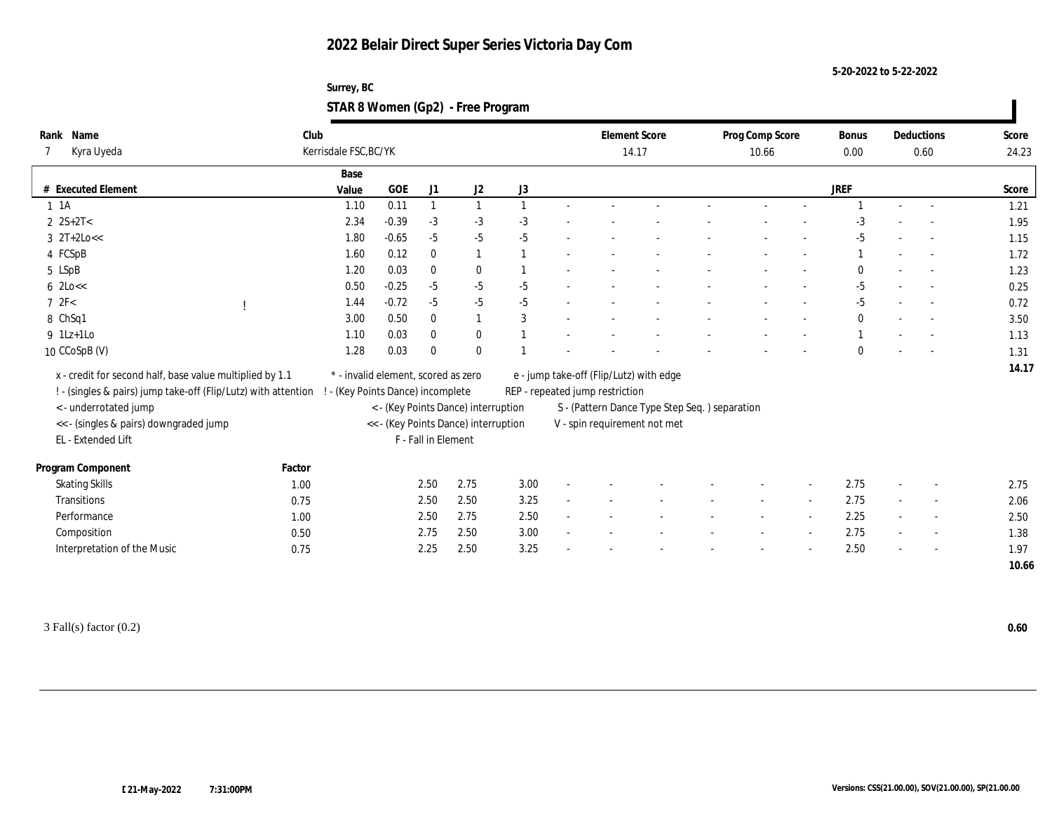**5-20-2022 to 5-22-2022**

| Surrey, BC                        |  |
|-----------------------------------|--|
| STAR 8 Women (Gp2) - Free Program |  |

| Rank Name<br>Kyra Uyeda                                                                                                                             |        | Club<br>Kerrisdale FSC, BC/YK                                          |         |                     |                                      |                  | <b>Element Score</b><br>14.17 |                                                                            |                                                | Prog Comp Score<br>10.66 |  |  | <b>Bonus</b><br>0.00 | Deductions<br>0.60       |                          | Score<br>24.23 |
|-----------------------------------------------------------------------------------------------------------------------------------------------------|--------|------------------------------------------------------------------------|---------|---------------------|--------------------------------------|------------------|-------------------------------|----------------------------------------------------------------------------|------------------------------------------------|--------------------------|--|--|----------------------|--------------------------|--------------------------|----------------|
|                                                                                                                                                     |        | Base                                                                   |         |                     |                                      |                  |                               |                                                                            |                                                |                          |  |  |                      |                          |                          |                |
| # Executed Element                                                                                                                                  |        | Value                                                                  | GOE     | J1                  | $\mathrm{J}2$                        | $_{\mathrm{J}3}$ |                               |                                                                            |                                                |                          |  |  | JREF                 |                          |                          | Score          |
| $1 \t1A$                                                                                                                                            |        | 1.10                                                                   | 0.11    |                     |                                      |                  |                               |                                                                            |                                                |                          |  |  |                      | $\sim$                   | $\overline{\phantom{a}}$ | 1.21           |
| $2$ $2S+2T<$                                                                                                                                        |        | 2.34                                                                   | $-0.39$ | $-3$                | $-3$                                 | $-3$             |                               |                                                                            |                                                |                          |  |  |                      |                          |                          | 1.95           |
| $3 \frac{2T+2Lo}{<}$                                                                                                                                |        | 1.80                                                                   | $-0.65$ | $-5$                | $-5$                                 | $-5$             |                               |                                                                            |                                                |                          |  |  | $-5$                 |                          |                          | 1.15           |
| 4 FCSpB                                                                                                                                             |        | 1.60                                                                   | 0.12    | $\mathbf{0}$        | 1                                    |                  |                               |                                                                            |                                                |                          |  |  |                      |                          |                          | 1.72           |
| 5 LSpB                                                                                                                                              |        | 1.20                                                                   | 0.03    | $\mathbf{0}$        | $\bf{0}$                             |                  |                               |                                                                            |                                                |                          |  |  |                      |                          |                          | 1.23           |
| $6$ 2Lo $<<$                                                                                                                                        |        | 0.50                                                                   | $-0.25$ | $-5$                | $-5$                                 | $-5$             |                               |                                                                            |                                                |                          |  |  | $-5$                 |                          |                          | 0.25           |
| 72F<                                                                                                                                                |        | 1.44                                                                   | $-0.72$ | $-5$                | $-5$                                 | $-5$             |                               |                                                                            |                                                |                          |  |  | $-5$                 |                          |                          | 0.72           |
| 8 ChSq1                                                                                                                                             |        | 3.00                                                                   | 0.50    | $\mathbf{0}$        | 1                                    | 3                |                               |                                                                            |                                                |                          |  |  | $\bf{0}$             |                          |                          | 3.50           |
| $9$ 1Lz+1Lo                                                                                                                                         |        | 1.10                                                                   | 0.03    | $\bf{0}$            | $\bf{0}$                             |                  |                               |                                                                            |                                                |                          |  |  |                      |                          |                          | 1.13           |
| 10 CCoSpB (V)                                                                                                                                       |        | 1.28                                                                   | 0.03    | $\theta$            | $\mathbf{0}$                         |                  |                               |                                                                            |                                                |                          |  |  | $\theta$             |                          |                          | 1.31           |
| x - credit for second half, base value multiplied by 1.1<br>! - (singles & pairs) jump take-off (Flip/Lutz) with attention<br>< - underrotated jump |        | * - invalid element, scored as zero<br>- (Key Points Dance) incomplete |         |                     | < - (Key Points Dance) interruption  |                  |                               | e - jump take-off (Flip/Lutz) with edge<br>REP - repeated jump restriction | S - (Pattern Dance Type Step Seq. ) separation |                          |  |  |                      |                          |                          | 14.17          |
| << - (singles & pairs) downgraded jump                                                                                                              |        |                                                                        |         |                     | << - (Key Points Dance) interruption |                  |                               |                                                                            | V - spin requirement not met                   |                          |  |  |                      |                          |                          |                |
| EL - Extended Lift                                                                                                                                  |        |                                                                        |         | F - Fall in Element |                                      |                  |                               |                                                                            |                                                |                          |  |  |                      |                          |                          |                |
| Program Component                                                                                                                                   | Factor |                                                                        |         |                     |                                      |                  |                               |                                                                            |                                                |                          |  |  |                      |                          |                          |                |
| <b>Skating Skills</b>                                                                                                                               | 1.00   |                                                                        |         | 2.50                | 2.75                                 | 3.00             |                               |                                                                            |                                                |                          |  |  | 2.75                 | $\overline{\phantom{a}}$ |                          | 2.75           |
| <b>Transitions</b>                                                                                                                                  | 0.75   |                                                                        |         | 2.50                | 2.50                                 | 3.25             |                               |                                                                            |                                                |                          |  |  | 2.75                 |                          |                          | 2.06           |
| Performance                                                                                                                                         | 1.00   |                                                                        |         | 2.50                | 2.75                                 | 2.50             |                               |                                                                            |                                                |                          |  |  | 2.25                 |                          | $\overline{\phantom{a}}$ | 2.50           |
| Composition                                                                                                                                         | 0.50   |                                                                        |         | 2.75                | 2.50                                 | 3.00             |                               |                                                                            |                                                |                          |  |  | 2.75                 | $\overline{\phantom{a}}$ | $\sim$                   | 1.38           |
| Interpretation of the Music                                                                                                                         | 0.75   |                                                                        |         | 2.25                | 2.50                                 | 3.25             |                               |                                                                            |                                                |                          |  |  | 2.50                 |                          |                          | 1.97           |
|                                                                                                                                                     |        |                                                                        |         |                     |                                      |                  |                               |                                                                            |                                                |                          |  |  |                      |                          |                          | 10.66          |

3 Fall(s) factor (0.2) **0.60**

ı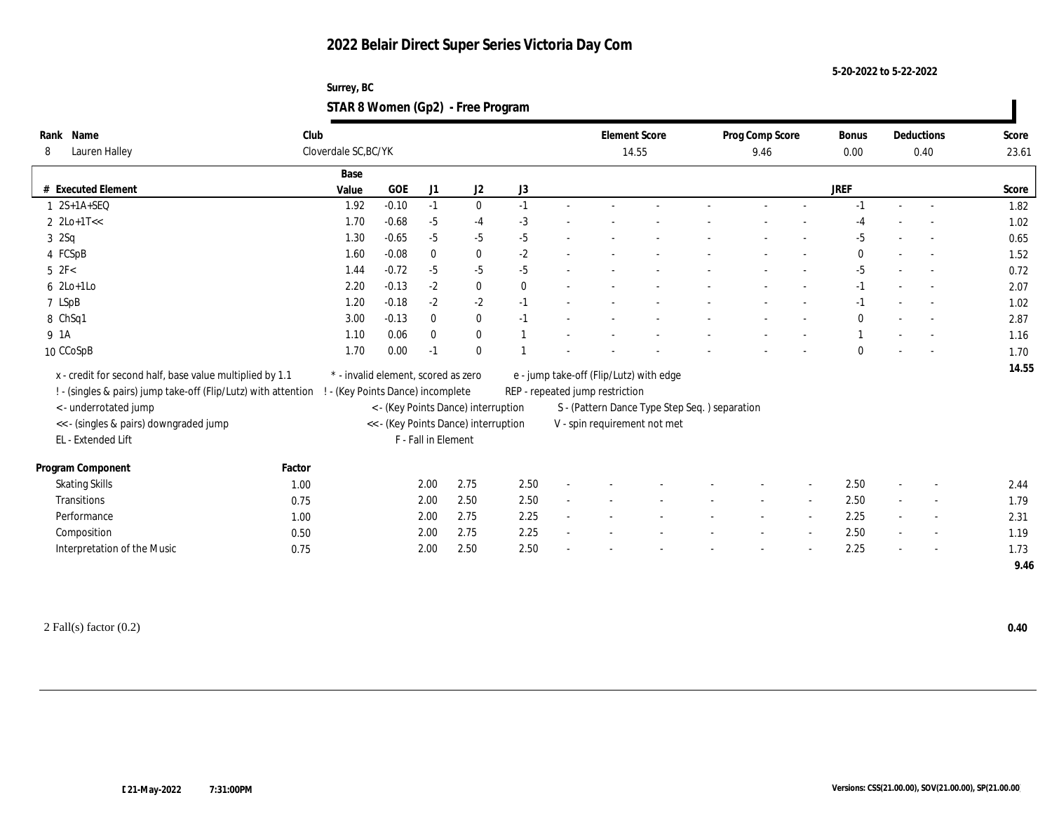**5-20-2022 to 5-22-2022**

| Surrey, BC                        |  |
|-----------------------------------|--|
| STAR 8 Women (Gp2) - Free Program |  |

| Rank Name<br>Lauren Halley<br>8                                                                                            |        | Club<br>Cloverdale SC, BC/YK                                             |         |                     |                                      |              |                                                                            | <b>Element Score</b><br>14.55                 | Prog Comp Score<br>9.46 |        | <b>Bonus</b><br>0.00 |                          | Deductions<br>0.40       | Score<br>23.61 |
|----------------------------------------------------------------------------------------------------------------------------|--------|--------------------------------------------------------------------------|---------|---------------------|--------------------------------------|--------------|----------------------------------------------------------------------------|-----------------------------------------------|-------------------------|--------|----------------------|--------------------------|--------------------------|----------------|
|                                                                                                                            |        | Base                                                                     |         |                     |                                      |              |                                                                            |                                               |                         |        |                      |                          |                          |                |
| # Executed Element                                                                                                         |        | Value                                                                    | GOE     | J1                  | J2                                   | J3           |                                                                            |                                               |                         |        | <b>JREF</b>          |                          |                          | Score          |
| $1 2S+1A+SEQ$                                                                                                              |        | 1.92                                                                     | $-0.10$ | $-1$                | $\mathbf{0}$                         | $-1$         |                                                                            |                                               |                         |        | -1                   | $\sim$                   |                          | 1.82           |
| $2 \text{ } 2\text{Lo+1T} <<$                                                                                              |        | 1.70                                                                     | $-0.68$ | $-5$                | $-4$                                 | $-3$         |                                                                            |                                               |                         |        |                      |                          |                          | 1.02           |
| 32Sq                                                                                                                       |        | 1.30                                                                     | $-0.65$ | $-5$                | $-5$                                 | $-5$         |                                                                            |                                               |                         |        | $-5$                 |                          |                          | 0.65           |
| 4 FCSpB                                                                                                                    |        | 1.60                                                                     | $-0.08$ | $\bf{0}$            | $\bf{0}$                             | $-2$         |                                                                            |                                               |                         |        | $\mathbf{0}$         |                          |                          | 1.52           |
| $5\text{ }2\text{F}$                                                                                                       |        | 1.44                                                                     | $-0.72$ | $-5$                | $-5$                                 | $-5$         |                                                                            |                                               |                         |        | $-5$                 |                          |                          | 0.72           |
| $6$ 2Lo+1Lo                                                                                                                |        | 2.20                                                                     | $-0.13$ | $-2$                | $\bf{0}$                             | $\mathbf{0}$ |                                                                            |                                               |                         |        | $-1$                 |                          |                          | 2.07           |
| 7 LSpB                                                                                                                     |        | 1.20                                                                     | $-0.18$ | $-2$                | $-2$                                 | $-1$         |                                                                            |                                               |                         |        | $-1$                 |                          |                          | 1.02           |
| 8 ChSq1                                                                                                                    |        | 3.00                                                                     | $-0.13$ | $\bf{0}$            | $\bf{0}$                             | $-1$         |                                                                            |                                               |                         |        | $\mathbf{0}$         |                          |                          | 2.87           |
| 9 1A                                                                                                                       |        | 1.10                                                                     | 0.06    | $\bf{0}$            | $\mathbf{0}$                         |              |                                                                            |                                               |                         |        |                      |                          |                          | 1.16           |
| 10 CCoSpB                                                                                                                  |        | 1.70                                                                     | 0.00    | $-1$                | $\mathbf{0}$                         |              |                                                                            |                                               |                         |        | $\mathbf{0}$         |                          |                          | 1.70           |
| x - credit for second half, base value multiplied by 1.1<br>! - (singles & pairs) jump take-off (Flip/Lutz) with attention |        | * - invalid element, scored as zero<br>! - (Key Points Dance) incomplete |         |                     |                                      |              | e - jump take-off (Flip/Lutz) with edge<br>REP - repeated jump restriction |                                               |                         |        |                      |                          |                          | 14.55          |
| < - underrotated jump                                                                                                      |        |                                                                          |         |                     | < - (Key Points Dance) interruption  |              |                                                                            | S - (Pattern Dance Type Step Seq.) separation |                         |        |                      |                          |                          |                |
| << - (singles & pairs) downgraded jump                                                                                     |        |                                                                          |         |                     | << - (Key Points Dance) interruption |              |                                                                            | V - spin requirement not met                  |                         |        |                      |                          |                          |                |
| EL - Extended Lift                                                                                                         |        |                                                                          |         | F - Fall in Element |                                      |              |                                                                            |                                               |                         |        |                      |                          |                          |                |
| Program Component                                                                                                          | Factor |                                                                          |         |                     |                                      |              |                                                                            |                                               |                         |        |                      |                          |                          |                |
| <b>Skating Skills</b>                                                                                                      | 1.00   |                                                                          |         | 2.00                | 2.75                                 | 2.50         |                                                                            |                                               |                         |        | 2.50                 | $\overline{\phantom{a}}$ |                          | 2.44           |
| Transitions                                                                                                                | 0.75   |                                                                          |         | 2.00                | 2.50                                 | 2.50         |                                                                            |                                               |                         |        | 2.50                 |                          |                          | 1.79           |
| Performance                                                                                                                | 1.00   |                                                                          |         | 2.00                | 2.75                                 | 2.25         |                                                                            |                                               |                         |        | 2.25                 |                          | $\overline{\phantom{a}}$ | 2.31           |
| Composition                                                                                                                | 0.50   |                                                                          |         | 2.00                | 2.75                                 | 2.25         |                                                                            |                                               |                         | $\sim$ | 2.50                 | $\sim$                   | $\overline{\phantom{a}}$ | 1.19           |
| Interpretation of the Music                                                                                                | 0.75   |                                                                          |         | 2.00                | 2.50                                 | 2.50         |                                                                            |                                               |                         |        | 2.25                 |                          |                          | 1.73           |
|                                                                                                                            |        |                                                                          |         |                     |                                      |              |                                                                            |                                               |                         |        |                      |                          |                          | 9.46           |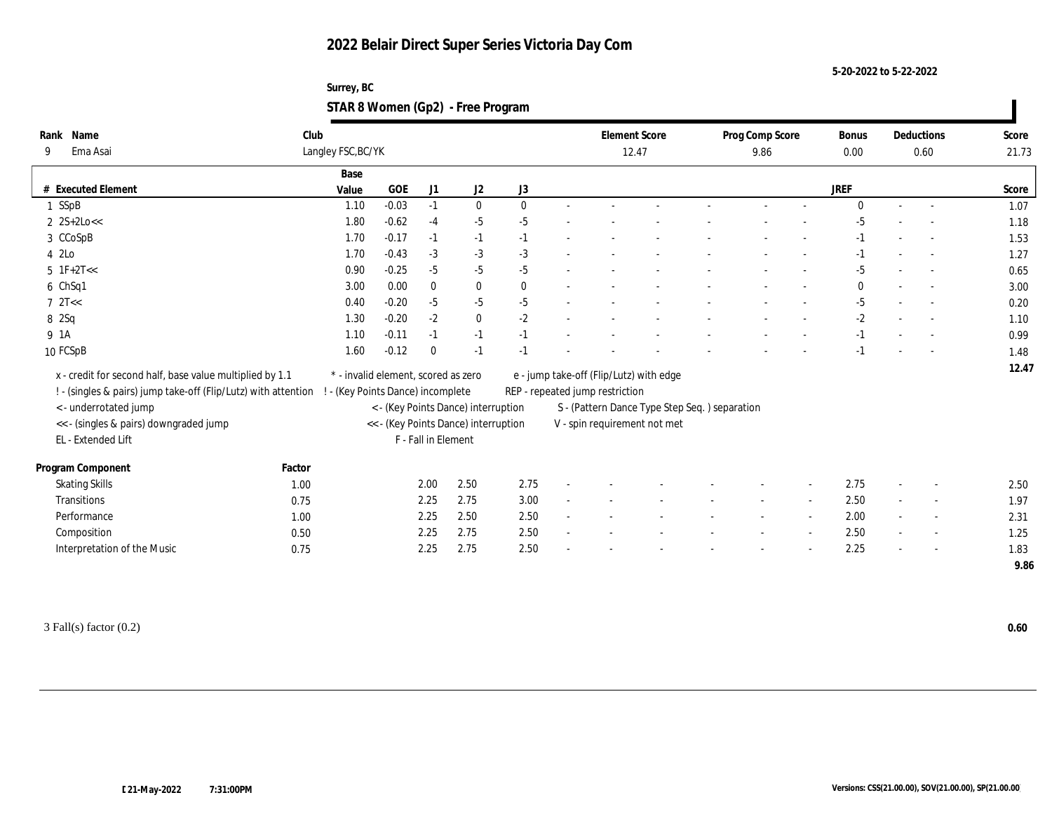**5-20-2022 to 5-22-2022**

| Surrey, BC                        |  |
|-----------------------------------|--|
| STAR 8 Women (Gp2) - Free Program |  |

| Rank Name                                                      | Club               |                                      |                     |                                     |              | <b>Element Score</b>                    |                                               | Prog Comp Score | Bonus        |        | Deductions               | Score |
|----------------------------------------------------------------|--------------------|--------------------------------------|---------------------|-------------------------------------|--------------|-----------------------------------------|-----------------------------------------------|-----------------|--------------|--------|--------------------------|-------|
| Ema Asai<br>9                                                  | Langley FSC, BC/YK |                                      |                     |                                     |              | 12.47                                   |                                               | 9.86            | 0.00         |        | 0.60                     | 21.73 |
|                                                                | Base               |                                      |                     |                                     |              |                                         |                                               |                 |              |        |                          |       |
| # Executed Element                                             | Value              | GOE                                  | J1                  | J2                                  | J3           |                                         |                                               |                 | <b>JREF</b>  |        |                          | Score |
| 1 SSpB                                                         | 1.10               | $-0.03$                              | $-1$                | $\mathbf{0}$                        | $\mathbf{0}$ |                                         |                                               |                 | $\mathbf{0}$ | $\sim$ |                          | 1.07  |
| $2$ 2S+2Lo<<                                                   | 1.80               | $-0.62$                              | $-4$                | $-5$                                | $-5$         |                                         |                                               |                 | -5           |        |                          | 1.18  |
| 3 CCoSpB                                                       | 1.70               | $-0.17$                              | $-1$                | $-1$                                | $-1$         |                                         |                                               |                 | $-1$         |        |                          | 1.53  |
| 4 2Lo                                                          | 1.70               | $-0.43$                              | $-3$                | $-3$                                | $-3$         |                                         |                                               |                 | -1           |        |                          | 1.27  |
| $5 \text{ } 1\text{F}+2\text{T}<<$                             | 0.90               | $-0.25$                              | $-5$                | $-5$                                | $-5$         |                                         |                                               |                 | $-5$         |        |                          | 0.65  |
| 6 ChSq1                                                        | 3.00               | 0.00                                 | $\bf{0}$            | $\bf{0}$                            | $\mathbf{0}$ |                                         |                                               |                 | $\bf{0}$     |        |                          | 3.00  |
| $7 \text{ } 2T <$                                              | 0.40               | $-0.20$                              | $-5$                | $-5$                                | $-5$         |                                         |                                               |                 | $-5$         |        |                          | 0.20  |
| 8 2Sq                                                          | 1.30               | $-0.20$                              | $-2$                | $\bf{0}$                            | $-2$         |                                         |                                               |                 | $-2$         |        |                          | 1.10  |
| 9 1A                                                           | 1.10               | $-0.11$                              | $-1$                | $-1$                                | $-1$         |                                         |                                               |                 | $-1$         |        |                          | 0.99  |
| 10 FCSpB                                                       | 1.60               | $-0.12$                              | $\theta$            | $-1$                                | $-1$         |                                         |                                               |                 | $-1$         |        |                          | 1.48  |
|                                                                |                    |                                      |                     |                                     |              |                                         |                                               |                 |              |        |                          | 12.47 |
| x - credit for second half, base value multiplied by 1.1       |                    | * - invalid element, scored as zero  |                     |                                     |              | e - jump take-off (Flip/Lutz) with edge |                                               |                 |              |        |                          |       |
| ! - (singles & pairs) jump take-off (Flip/Lutz) with attention |                    | ! - (Key Points Dance) incomplete    |                     |                                     |              | REP - repeated jump restriction         |                                               |                 |              |        |                          |       |
| < - underrotated jump                                          |                    |                                      |                     | < - (Key Points Dance) interruption |              |                                         | S - (Pattern Dance Type Step Seq.) separation |                 |              |        |                          |       |
| <<- (singles & pairs) downgraded jump                          |                    | << - (Key Points Dance) interruption |                     |                                     |              | V - spin requirement not met            |                                               |                 |              |        |                          |       |
| EL - Extended Lift                                             |                    |                                      | F - Fall in Element |                                     |              |                                         |                                               |                 |              |        |                          |       |
| Program Component                                              | Factor             |                                      |                     |                                     |              |                                         |                                               |                 |              |        |                          |       |
| <b>Skating Skills</b>                                          | 1.00               |                                      | 2.00                | 2.50                                | 2.75         |                                         |                                               |                 | 2.75         |        |                          | 2.50  |
| Transitions                                                    | 0.75               |                                      | 2.25                | 2.75                                | 3.00         |                                         |                                               |                 | 2.50         |        |                          | 1.97  |
| Performance                                                    | 1.00               |                                      | 2.25                | 2.50                                | 2.50         |                                         |                                               |                 | 2.00         |        | $\overline{\phantom{a}}$ | 2.31  |
| Composition                                                    | 0.50               |                                      | 2.25                | 2.75                                | 2.50         |                                         |                                               |                 | 2.50         | $\sim$ | $\overline{\phantom{a}}$ | 1.25  |
| Interpretation of the Music                                    | 0.75               |                                      | 2.25                | 2.75                                | 2.50         |                                         |                                               |                 | 2.25         |        |                          | 1.83  |
|                                                                |                    |                                      |                     |                                     |              |                                         |                                               |                 |              |        |                          | 9.86  |